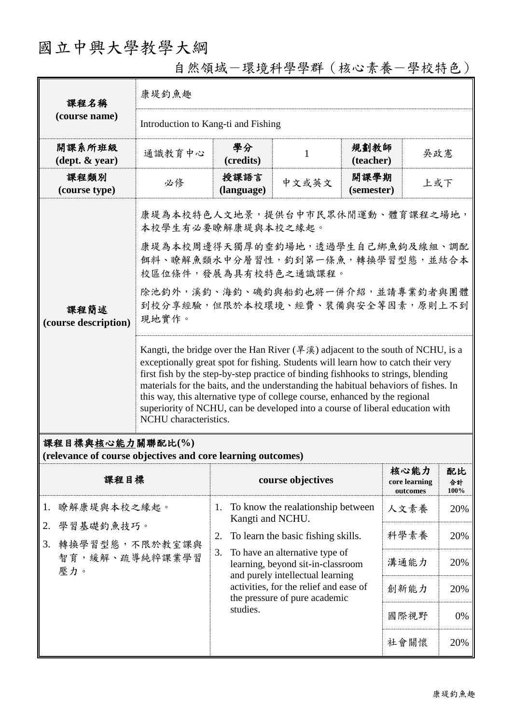## 國立中興大學教學大綱

自然領域-環境科學學群(核心素養-學校特色)

| 課程名稱<br>(course name)                                                           | 康堤釣魚趣                                                                                                                                                                                                                                                                                                                                                                                                                                                                                                                                                            |                                                             |                                                                                                         |                    |                                   |                  |  |
|---------------------------------------------------------------------------------|------------------------------------------------------------------------------------------------------------------------------------------------------------------------------------------------------------------------------------------------------------------------------------------------------------------------------------------------------------------------------------------------------------------------------------------------------------------------------------------------------------------------------------------------------------------|-------------------------------------------------------------|---------------------------------------------------------------------------------------------------------|--------------------|-----------------------------------|------------------|--|
|                                                                                 | Introduction to Kang-ti and Fishing                                                                                                                                                                                                                                                                                                                                                                                                                                                                                                                              |                                                             |                                                                                                         |                    |                                   |                  |  |
| 開課系所班級<br>$(\text{dept.} \& \text{ year})$                                      | 通識教育中心                                                                                                                                                                                                                                                                                                                                                                                                                                                                                                                                                           | 學分<br>(credits)                                             | 1                                                                                                       | 規劃教師<br>(teacher)  | 吳政憲                               |                  |  |
| 課程類別<br>(course type)                                                           | 必修                                                                                                                                                                                                                                                                                                                                                                                                                                                                                                                                                               | 授課語言<br>(language)                                          | 中文或英文                                                                                                   | 開課學期<br>(semester) | 上或下                               |                  |  |
| 課程簡述<br>(course description)                                                    | 康堤為本校特色人文地景,提供台中市民眾休閒運動、體育課程之場地,<br>本校學生有必要瞭解康堤與本校之緣起。                                                                                                                                                                                                                                                                                                                                                                                                                                                                                                           |                                                             |                                                                                                         |                    |                                   |                  |  |
|                                                                                 | 康堤為本校周邊得天獨厚的垂釣場地,透過學生自己綁魚鉤及線組、調配<br>餌料、瞭解魚類水中分層習性,釣到第一條魚,轉換學習型態,並結合本<br>校區位條件,發展為具有校特色之通識課程。                                                                                                                                                                                                                                                                                                                                                                                                                                                                     |                                                             |                                                                                                         |                    |                                   |                  |  |
|                                                                                 | 除池釣外,溪釣、海釣、磯釣與船釣也將一併介紹,並請專業釣者與團體<br>到校分享經驗,但限於本校環境、經費、裝備與安全等因素,原則上不到<br>現地實作。                                                                                                                                                                                                                                                                                                                                                                                                                                                                                    |                                                             |                                                                                                         |                    |                                   |                  |  |
|                                                                                 | Kangti, the bridge over the Han River $(\frac{1}{2}, \frac{1}{2})$ adjacent to the south of NCHU, is a<br>exceptionally great spot for fishing. Students will learn how to catch their very<br>first fish by the step-by-step practice of binding fishbooks to strings, blending<br>materials for the baits, and the understanding the habitual behaviors of fishes. In<br>this way, this alternative type of college course, enhanced by the regional<br>superiority of NCHU, can be developed into a course of liberal education with<br>NCHU characteristics. |                                                             |                                                                                                         |                    |                                   |                  |  |
| 課程目標與核心能力關聯配比(%)<br>(relevance of course objectives and core learning outcomes) |                                                                                                                                                                                                                                                                                                                                                                                                                                                                                                                                                                  |                                                             |                                                                                                         |                    |                                   |                  |  |
| 課程目標                                                                            |                                                                                                                                                                                                                                                                                                                                                                                                                                                                                                                                                                  |                                                             | course objectives                                                                                       |                    | 核心能力<br>core learning<br>outcomes | 配比<br>合計<br>100% |  |
| 瞭解康堤與本校之緣起。<br>1.<br>學習基礎釣魚技巧。<br>2.<br>轉換學習型態,不限於教室課與<br>3.                    |                                                                                                                                                                                                                                                                                                                                                                                                                                                                                                                                                                  | To know the realationship between<br>1.<br>Kangti and NCHU. |                                                                                                         |                    | 人文素養                              | 20%              |  |
|                                                                                 |                                                                                                                                                                                                                                                                                                                                                                                                                                                                                                                                                                  | To learn the basic fishing skills.<br>2.                    |                                                                                                         | 科學素養               | 20%                               |                  |  |
| 智育,緩解、疏導純粹課業學習<br>壓力。                                                           |                                                                                                                                                                                                                                                                                                                                                                                                                                                                                                                                                                  | 3.                                                          | To have an alternative type of<br>learning, beyond sit-in-classroom<br>and purely intellectual learning |                    | 溝通能力                              | 20%              |  |
|                                                                                 |                                                                                                                                                                                                                                                                                                                                                                                                                                                                                                                                                                  |                                                             | activities, for the relief and ease of<br>the pressure of pure academic                                 |                    | 創新能力                              | 20%              |  |
|                                                                                 |                                                                                                                                                                                                                                                                                                                                                                                                                                                                                                                                                                  | studies.                                                    |                                                                                                         |                    | 國際視野                              | 0%               |  |

社會關懷 20%